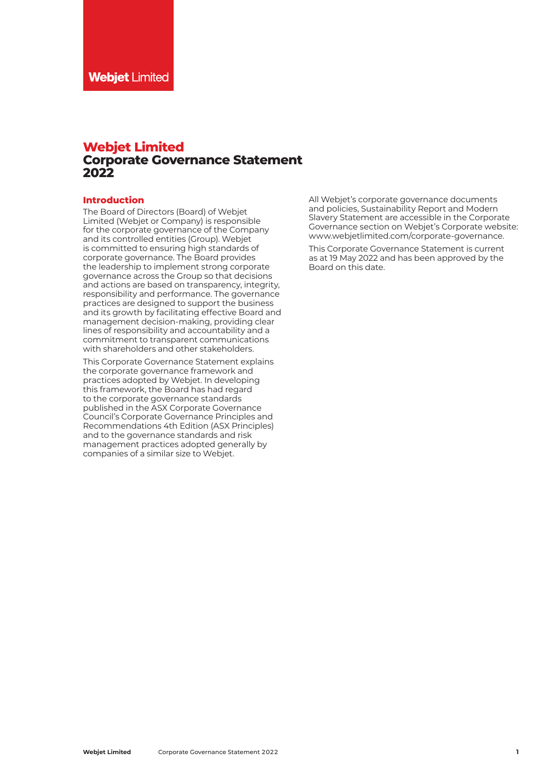# **Webjet Limited Corporate Governance Statement 2022**

## **Introduction**

The Board of Directors (Board) of Webjet Limited (Webjet or Company) is responsible for the corporate governance of the Company and its controlled entities (Group). Webjet is committed to ensuring high standards of corporate governance. The Board provides the leadership to implement strong corporate governance across the Group so that decisions and actions are based on transparency, integrity, responsibility and performance. The governance practices are designed to support the business and its growth by facilitating effective Board and management decision-making, providing clear lines of responsibility and accountability and a commitment to transparent communications with shareholders and other stakeholders.

This Corporate Governance Statement explains the corporate governance framework and practices adopted by Webjet. In developing this framework, the Board has had regard to the corporate governance standards published in the ASX Corporate Governance Council's Corporate Governance Principles and Recommendations 4th Edition (ASX Principles) and to the governance standards and risk management practices adopted generally by companies of a similar size to Webjet.

All Webjet's corporate governance documents and policies, Sustainability Report and Modern Slavery Statement are accessible in the Corporate Governance section on Webjet's Corporate website: [www.webjetlimited.com/corporate-governance.](http://www.webjetlimited.com/corporate-governance)

This Corporate Governance Statement is current as at 19 May 2022 and has been approved by the Board on this date.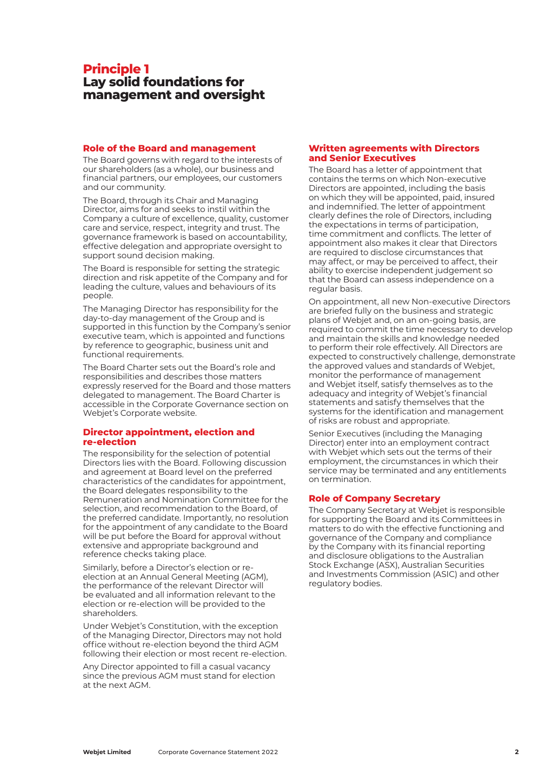# **Principle 1 Lay solid foundations for management and oversight**

#### **Role of the Board and management**

The Board governs with regard to the interests of our shareholders (as a whole), our business and financial partners, our employees, our customers and our community.

The Board, through its Chair and Managing Director, aims for and seeks to instil within the Company a culture of excellence, quality, customer care and service, respect, integrity and trust. The governance framework is based on accountability, effective delegation and appropriate oversight to support sound decision making.

The Board is responsible for setting the strategic direction and risk appetite of the Company and for leading the culture, values and behaviours of its people.

The Managing Director has responsibility for the day-to-day management of the Group and is supported in this function by the Company's senior executive team, which is appointed and functions by reference to geographic, business unit and functional requirements.

The Board Charter sets out the Board's role and responsibilities and describes those matters expressly reserved for the Board and those matters delegated to management. The Board Charter is accessible in the Corporate Governance section on Webjet's Corporate website.

## **Director appointment, election and re-election**

The responsibility for the selection of potential Directors lies with the Board. Following discussion and agreement at Board level on the preferred characteristics of the candidates for appointment, the Board delegates responsibility to the Remuneration and Nomination Committee for the selection, and recommendation to the Board, of the preferred candidate. Importantly, no resolution for the appointment of any candidate to the Board will be put before the Board for approval without extensive and appropriate background and reference checks taking place.

Similarly, before a Director's election or reelection at an Annual General Meeting (AGM), the performance of the relevant Director will be evaluated and all information relevant to the election or re-election will be provided to the shareholders.

Under Webjet's Constitution, with the exception of the Managing Director, Directors may not hold office without re-election beyond the third AGM following their election or most recent re-election.

Any Director appointed to fill a casual vacancy since the previous AGM must stand for election at the next AGM.

## **Written agreements with Directors and Senior Executives**

The Board has a letter of appointment that contains the terms on which Non-executive Directors are appointed, including the basis on which they will be appointed, paid, insured and indemnified. The letter of appointment clearly defines the role of Directors, including the expectations in terms of participation, time commitment and conflicts. The letter of appointment also makes it clear that Directors are required to disclose circumstances that may affect, or may be perceived to affect, their ability to exercise independent judgement so that the Board can assess independence on a regular basis.

On appointment, all new Non-executive Directors are briefed fully on the business and strategic plans of Webjet and, on an on-going basis, are required to commit the time necessary to develop and maintain the skills and knowledge needed to perform their role effectively. All Directors are expected to constructively challenge, demonstrate the approved values and standards of Webjet, monitor the performance of management and Webjet itself, satisfy themselves as to the adequacy and integrity of Webjet's financial statements and satisfy themselves that the systems for the identification and management of risks are robust and appropriate.

Senior Executives (including the Managing Director) enter into an employment contract with Webjet which sets out the terms of their employment, the circumstances in which their service may be terminated and any entitlements on termination.

## **Role of Company Secretary**

The Company Secretary at Webjet is responsible for supporting the Board and its Committees in matters to do with the effective functioning and governance of the Company and compliance by the Company with its financial reporting and disclosure obligations to the Australian Stock Exchange (ASX), Australian Securities and Investments Commission (ASIC) and other regulatory bodies.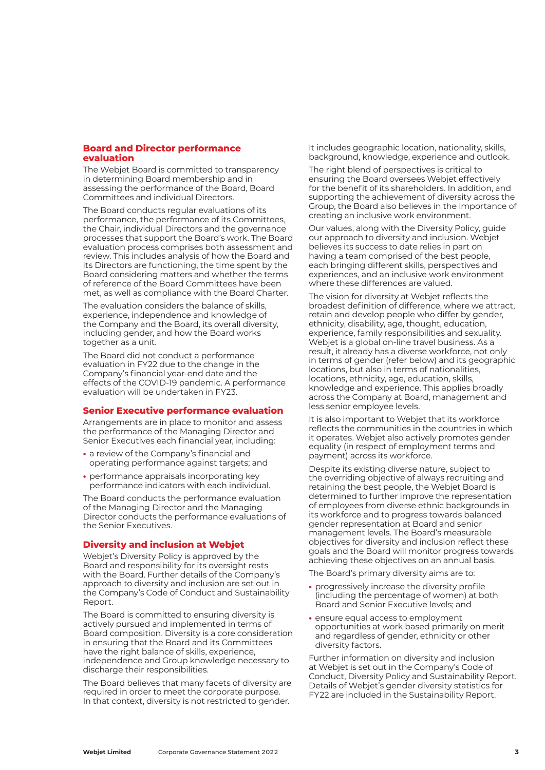#### **Board and Director performance evaluation**

The Webjet Board is committed to transparency in determining Board membership and in assessing the performance of the Board, Board Committees and individual Directors.

The Board conducts regular evaluations of its performance, the performance of its Committees, the Chair, individual Directors and the governance processes that support the Board's work. The Board evaluation process comprises both assessment and review. This includes analysis of how the Board and its Directors are functioning, the time spent by the Board considering matters and whether the terms of reference of the Board Committees have been met, as well as compliance with the Board Charter.

The evaluation considers the balance of skills, experience, independence and knowledge of the Company and the Board, its overall diversity, including gender, and how the Board works together as a unit.

The Board did not conduct a performance evaluation in FY22 due to the change in the Company's financial year-end date and the effects of the COVID-19 pandemic. A performance evaluation will be undertaken in FY23.

## **Senior Executive performance evaluation**

Arrangements are in place to monitor and assess the performance of the Managing Director and Senior Executives each financial year, including:

- **•** a review of the Company's financial and operating performance against targets; and
- **•** performance appraisals incorporating key performance indicators with each individual.

The Board conducts the performance evaluation of the Managing Director and the Managing Director conducts the performance evaluations of the Senior Executives.

## **Diversity and inclusion at Webjet**

Webjet's Diversity Policy is approved by the Board and responsibility for its oversight rests with the Board. Further details of the Company's approach to diversity and inclusion are set out in the Company's Code of Conduct and Sustainability Report.

The Board is committed to ensuring diversity is actively pursued and implemented in terms of Board composition. Diversity is a core consideration in ensuring that the Board and its Committees have the right balance of skills, experience, independence and Group knowledge necessary to discharge their responsibilities.

The Board believes that many facets of diversity are required in order to meet the corporate purpose. In that context, diversity is not restricted to gender.

It includes geographic location, nationality, skills, background, knowledge, experience and outlook.

The right blend of perspectives is critical to ensuring the Board oversees Webjet effectively for the benefit of its shareholders. In addition, and supporting the achievement of diversity across the Group, the Board also believes in the importance of creating an inclusive work environment.

Our values, along with the Diversity Policy, guide our approach to diversity and inclusion. Webjet believes its success to date relies in part on having a team comprised of the best people, each bringing different skills, perspectives and experiences, and an inclusive work environment where these differences are valued.

The vision for diversity at Webjet reflects the broadest definition of difference, where we attract, retain and develop people who differ by gender, ethnicity, disability, age, thought, education, experience, family responsibilities and sexuality. Webjet is a global on-line travel business. As a result, it already has a diverse workforce, not only in terms of gender (refer below) and its geographic locations, but also in terms of nationalities, locations, ethnicity, age, education, skills, knowledge and experience. This applies broadly across the Company at Board, management and less senior employee levels.

It is also important to Webjet that its workforce reflects the communities in the countries in which it operates. Webjet also actively promotes gender equality (in respect of employment terms and payment) across its workforce.

Despite its existing diverse nature, subject to the overriding objective of always recruiting and retaining the best people, the Webjet Board is determined to further improve the representation of employees from diverse ethnic backgrounds in its workforce and to progress towards balanced gender representation at Board and senior management levels. The Board's measurable objectives for diversity and inclusion reflect these goals and the Board will monitor progress towards achieving these objectives on an annual basis.

The Board's primary diversity aims are to:

- **•** progressively increase the diversity profile (including the percentage of women) at both Board and Senior Executive levels; and
- **•** ensure equal access to employment opportunities at work based primarily on merit and regardless of gender, ethnicity or other diversity factors.

Further information on diversity and inclusion at Webjet is set out in the Company's Code of Conduct, Diversity Policy and Sustainability Report. Details of Webjet's gender diversity statistics for FY22 are included in the Sustainability Report.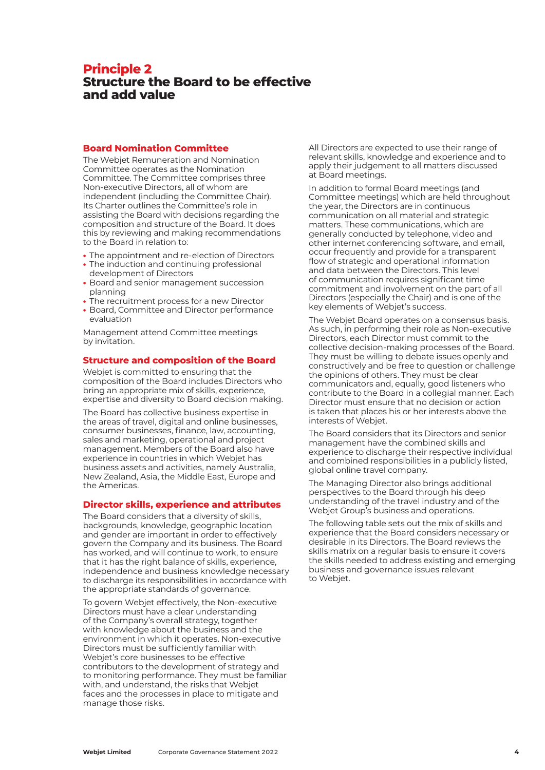## **Principle 2 Structure the Board to be effective and add value**

#### **Board Nomination Committee**

The Webjet Remuneration and Nomination Committee operates as the Nomination Committee. The Committee comprises three Non-executive Directors, all of whom are independent (including the Committee Chair). Its Charter outlines the Committee's role in assisting the Board with decisions regarding the composition and structure of the Board. It does this by reviewing and making recommendations to the Board in relation to:

- **•** The appointment and re-election of Directors
- **•** The induction and continuing professional development of Directors
- **•** Board and senior management succession planning
- **•** The recruitment process for a new Director
- **•** Board, Committee and Director performance evaluation

Management attend Committee meetings by invitation.

## **Structure and composition of the Board**

Webjet is committed to ensuring that the composition of the Board includes Directors who bring an appropriate mix of skills, experience, expertise and diversity to Board decision making.

The Board has collective business expertise in the areas of travel, digital and online businesses, consumer businesses, finance, law, accounting, sales and marketing, operational and project management. Members of the Board also have experience in countries in which Webjet has business assets and activities, namely Australia, New Zealand, Asia, the Middle East, Europe and the Americas.

## **Director skills, experience and attributes**

The Board considers that a diversity of skills, backgrounds, knowledge, geographic location and gender are important in order to effectively govern the Company and its business. The Board has worked, and will continue to work, to ensure that it has the right balance of skills, experience, independence and business knowledge necessary to discharge its responsibilities in accordance with the appropriate standards of governance.

To govern Webjet effectively, the Non-executive Directors must have a clear understanding of the Company's overall strategy, together with knowledge about the business and the environment in which it operates. Non-executive Directors must be sufficiently familiar with Webjet's core businesses to be effective contributors to the development of strategy and to monitoring performance. They must be familiar with, and understand, the risks that Webjet faces and the processes in place to mitigate and manage those risks.

All Directors are expected to use their range of relevant skills, knowledge and experience and to apply their judgement to all matters discussed at Board meetings.

In addition to formal Board meetings (and Committee meetings) which are held throughout the year, the Directors are in continuous communication on all material and strategic matters. These communications, which are generally conducted by telephone, video and other internet conferencing software, and email, occur frequently and provide for a transparent flow of strategic and operational information and data between the Directors. This level of communication requires significant time commitment and involvement on the part of all Directors (especially the Chair) and is one of the key elements of Webjet's success.

The Webjet Board operates on a consensus basis. As such, in performing their role as Non-executive Directors, each Director must commit to the collective decision-making processes of the Board. They must be willing to debate issues openly and constructively and be free to question or challenge the opinions of others. They must be clear communicators and, equally, good listeners who contribute to the Board in a collegial manner. Each Director must ensure that no decision or action is taken that places his or her interests above the interests of Webjet.

The Board considers that its Directors and senior management have the combined skills and experience to discharge their respective individual and combined responsibilities in a publicly listed, global online travel company.

The Managing Director also brings additional perspectives to the Board through his deep understanding of the travel industry and of the Webjet Group's business and operations.

The following table sets out the mix of skills and experience that the Board considers necessary or desirable in its Directors. The Board reviews the skills matrix on a regular basis to ensure it covers the skills needed to address existing and emerging business and governance issues relevant to Webjet.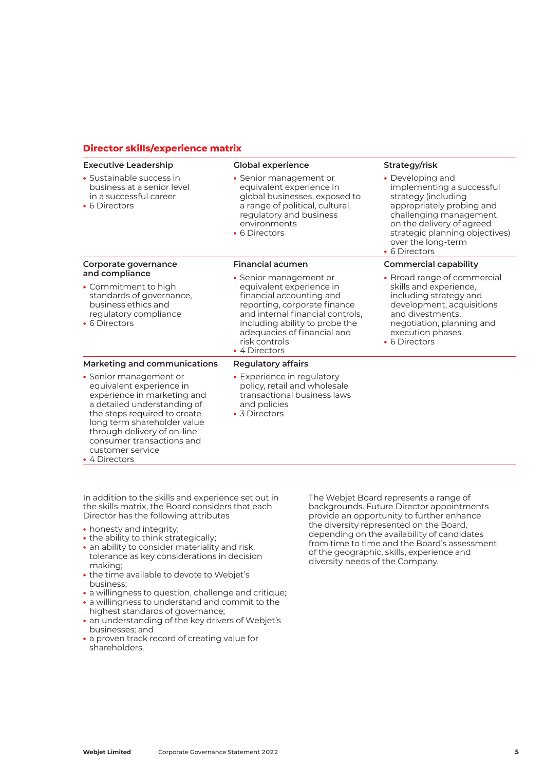## **Director skills/experience matrix**

| <b>Executive Leadership</b>                                                                                                                                                                                                                                                      | <b>Global experience</b>                                                                                                                                                                                                                              | Strategy/risk                                                                                                                                                                                                                     |
|----------------------------------------------------------------------------------------------------------------------------------------------------------------------------------------------------------------------------------------------------------------------------------|-------------------------------------------------------------------------------------------------------------------------------------------------------------------------------------------------------------------------------------------------------|-----------------------------------------------------------------------------------------------------------------------------------------------------------------------------------------------------------------------------------|
| • Sustainable success in<br>business at a senior level<br>in a successful career<br>• 6 Directors                                                                                                                                                                                | • Senior management or<br>equivalent experience in<br>global businesses, exposed to<br>a range of political, cultural,<br>regulatory and business<br>environments<br>• 6 Directors                                                                    | • Developing and<br>implementing a successful<br>strategy (including<br>appropriately probing and<br>challenging management<br>on the delivery of agreed<br>strategic planning objectives)<br>over the long-term<br>• 6 Directors |
| Corporate governance                                                                                                                                                                                                                                                             | <b>Financial acumen</b>                                                                                                                                                                                                                               | <b>Commercial capability</b>                                                                                                                                                                                                      |
| and compliance<br>• Commitment to high<br>standards of governance,<br>business ethics and<br>regulatory compliance<br>• 6 Directors                                                                                                                                              | • Senior management or<br>equivalent experience in<br>financial accounting and<br>reporting, corporate finance<br>and internal financial controls,<br>including ability to probe the<br>adequacies of financial and<br>risk controls<br>• 4 Directors | • Broad range of commercial<br>skills and experience,<br>including strategy and<br>development, acquisitions<br>and divestments,<br>negotiation, planning and<br>execution phases<br>• 6 Directors                                |
| Marketing and communications                                                                                                                                                                                                                                                     | <b>Regulatory affairs</b>                                                                                                                                                                                                                             |                                                                                                                                                                                                                                   |
| • Senior management or<br>equivalent experience in<br>experience in marketing and<br>a detailed understanding of<br>the steps required to create<br>long term shareholder value<br>through delivery of on-line<br>consumer transactions and<br>customer service<br>• 4 Directors | • Experience in regulatory<br>policy, retail and wholesale<br>transactional business laws<br>and policies<br>• 3 Directors                                                                                                                            |                                                                                                                                                                                                                                   |

In addition to the skills and experience set out in the skills matrix, the Board considers that each Director has the following attributes

- **•** honesty and integrity;
- the ability to think strategically;
- an ability to consider materiality and risk tolerance as key considerations in decision making;
- **•** the time available to devote to Webjet's business;
- **•** a willingness to question, challenge and critique;
- **•** a willingness to understand and commit to the highest standards of governance;
- **•** an understanding of the key drivers of Webjet's businesses; and
- **•** a proven track record of creating value for shareholders.

The Webjet Board represents a range of backgrounds. Future Director appointments provide an opportunity to further enhance the diversity represented on the Board, depending on the availability of candidates from time to time and the Board's assessment of the geographic, skills, experience and diversity needs of the Company.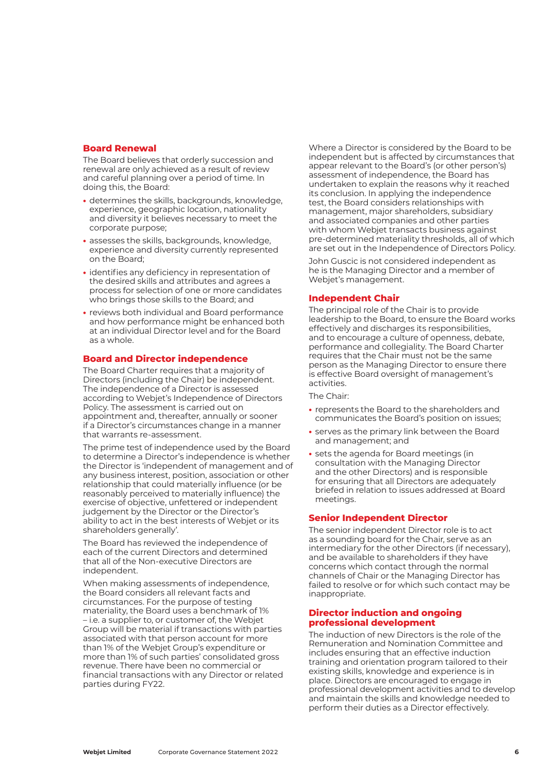#### **Board Renewal**

The Board believes that orderly succession and renewal are only achieved as a result of review and careful planning over a period of time. In doing this, the Board:

- **•** determines the skills, backgrounds, knowledge, experience, geographic location, nationality and diversity it believes necessary to meet the corporate purpose;
- **•** assesses the skills, backgrounds, knowledge, experience and diversity currently represented on the Board;
- **•** identifies any deficiency in representation of the desired skills and attributes and agrees a process for selection of one or more candidates who brings those skills to the Board; and
- **•** reviews both individual and Board performance and how performance might be enhanced both at an individual Director level and for the Board as a whole.

#### **Board and Director independence**

The Board Charter requires that a majority of Directors (including the Chair) be independent. The independence of a Director is assessed according to Webjet's Independence of Directors Policy. The assessment is carried out on appointment and, thereafter, annually or sooner if a Director's circumstances change in a manner that warrants re-assessment.

The prime test of independence used by the Board to determine a Director's independence is whether the Director is 'independent of management and of any business interest, position, association or other relationship that could materially influence (or be reasonably perceived to materially influence) the exercise of objective, unfettered or independent judgement by the Director or the Director's ability to act in the best interests of Webjet or its shareholders generally'.

The Board has reviewed the independence of each of the current Directors and determined that all of the Non-executive Directors are independent.

When making assessments of independence, the Board considers all relevant facts and circumstances. For the purpose of testing materiality, the Board uses a benchmark of 1% – i.e. a supplier to, or customer of, the Webjet Group will be material if transactions with parties associated with that person account for more than 1% of the Webjet Group's expenditure or more than 1% of such parties' consolidated gross revenue. There have been no commercial or financial transactions with any Director or related parties during FY22.

Where a Director is considered by the Board to be independent but is affected by circumstances that appear relevant to the Board's (or other person's) assessment of independence, the Board has undertaken to explain the reasons why it reached its conclusion. In applying the independence test, the Board considers relationships with management, major shareholders, subsidiary and associated companies and other parties with whom Webjet transacts business against pre-determined materiality thresholds, all of which are set out in the Independence of Directors Policy.

John Guscic is not considered independent as he is the Managing Director and a member of Webjet's management.

## **Independent Chair**

The principal role of the Chair is to provide leadership to the Board, to ensure the Board works effectively and discharges its responsibilities, and to encourage a culture of openness, debate, performance and collegiality. The Board Charter requires that the Chair must not be the same person as the Managing Director to ensure there is effective Board oversight of management's activities.

The Chair:

- **•** represents the Board to the shareholders and communicates the Board's position on issues;
- **•** serves as the primary link between the Board and management; and
- **•** sets the agenda for Board meetings (in consultation with the Managing Director and the other Directors) and is responsible for ensuring that all Directors are adequately briefed in relation to issues addressed at Board meetings.

## **Senior Independent Director**

The senior independent Director role is to act as a sounding board for the Chair, serve as an intermediary for the other Directors (if necessary), and be available to shareholders if they have concerns which contact through the normal channels of Chair or the Managing Director has failed to resolve or for which such contact may be inappropriate.

#### **Director induction and ongoing professional development**

The induction of new Directors is the role of the Remuneration and Nomination Committee and includes ensuring that an effective induction training and orientation program tailored to their existing skills, knowledge and experience is in place. Directors are encouraged to engage in professional development activities and to develop and maintain the skills and knowledge needed to perform their duties as a Director effectively.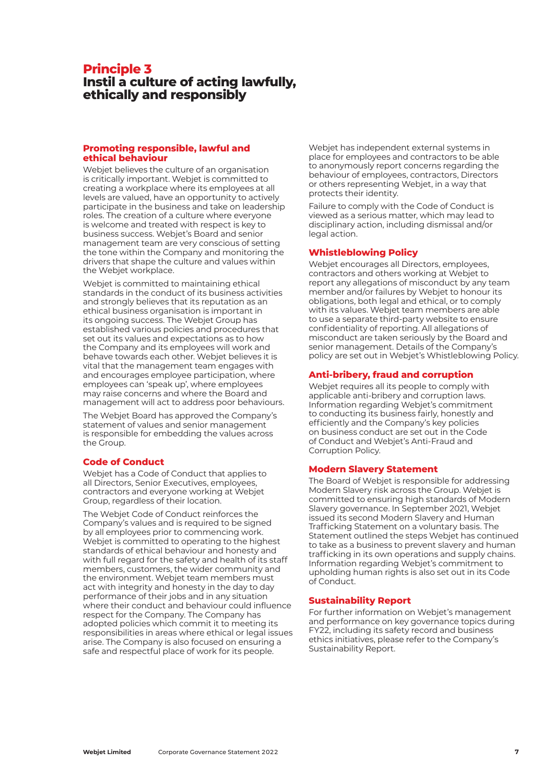## **Principle 3 Instil a culture of acting lawfully, ethically and responsibly**

## **Promoting responsible, lawful and ethical behaviour**

Webjet believes the culture of an organisation is critically important. Webjet is committed to creating a workplace where its employees at all levels are valued, have an opportunity to actively participate in the business and take on leadership roles. The creation of a culture where everyone is welcome and treated with respect is key to business success. Webjet's Board and senior management team are very conscious of setting the tone within the Company and monitoring the drivers that shape the culture and values within the Webjet workplace.

Webjet is committed to maintaining ethical standards in the conduct of its business activities and strongly believes that its reputation as an ethical business organisation is important in its ongoing success. The Webjet Group has established various policies and procedures that set out its values and expectations as to how the Company and its employees will work and behave towards each other. Webjet believes it is vital that the management team engages with and encourages employee participation, where employees can 'speak up', where employees may raise concerns and where the Board and management will act to address poor behaviours.

The Webjet Board has approved the Company's statement of values and senior management is responsible for embedding the values across the Group.

## **Code of Conduct**

Webjet has a Code of Conduct that applies to all Directors, Senior Executives, employees, contractors and everyone working at Webjet Group, regardless of their location.

The Webjet Code of Conduct reinforces the Company's values and is required to be signed by all employees prior to commencing work. Webjet is committed to operating to the highest standards of ethical behaviour and honesty and with full regard for the safety and health of its staff members, customers, the wider community and the environment. Webjet team members must act with integrity and honesty in the day to day performance of their jobs and in any situation where their conduct and behaviour could influence respect for the Company. The Company has adopted policies which commit it to meeting its responsibilities in areas where ethical or legal issues arise. The Company is also focused on ensuring a safe and respectful place of work for its people.

Webjet has independent external systems in place for employees and contractors to be able to anonymously report concerns regarding the behaviour of employees, contractors, Directors or others representing Webjet, in a way that protects their identity.

Failure to comply with the Code of Conduct is viewed as a serious matter, which may lead to disciplinary action, including dismissal and/or legal action.

## **Whistleblowing Policy**

Webjet encourages all Directors, employees, contractors and others working at Webjet to report any allegations of misconduct by any team member and/or failures by Webjet to honour its obligations, both legal and ethical, or to comply with its values. Webjet team members are able to use a separate third-party website to ensure confidentiality of reporting. All allegations of misconduct are taken seriously by the Board and senior management. Details of the Company's policy are set out in Webjet's Whistleblowing Policy.

## **Anti-bribery, fraud and corruption**

Webjet requires all its people to comply with applicable anti-bribery and corruption laws. Information regarding Webjet's commitment to conducting its business fairly, honestly and efficiently and the Company's key policies on business conduct are set out in the Code of Conduct and Webjet's Anti-Fraud and Corruption Policy.

## **Modern Slavery Statement**

The Board of Webjet is responsible for addressing Modern Slavery risk across the Group. Webjet is committed to ensuring high standards of Modern Slavery governance. In September 2021, Webjet issued its second Modern Slavery and Human Trafficking Statement on a voluntary basis. The Statement outlined the steps Webjet has continued to take as a business to prevent slavery and human trafficking in its own operations and supply chains. Information regarding Webjet's commitment to upholding human rights is also set out in its Code of Conduct.

## **Sustainability Report**

For further information on Webjet's management and performance on key governance topics during FY22, including its safety record and business ethics initiatives, please refer to the Company's Sustainability Report.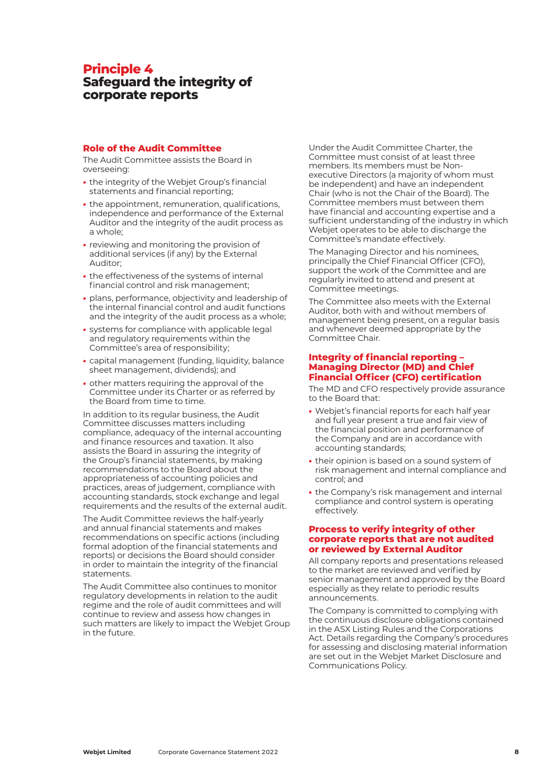# **Principle 4 Safeguard the integrity of corporate reports**

#### **Role of the Audit Committee**

The Audit Committee assists the Board in overseeing:

- **•** the integrity of the Webjet Group's financial statements and financial reporting;
- **•** the appointment, remuneration, qualifications, independence and performance of the External Auditor and the integrity of the audit process as a whole;
- **•** reviewing and monitoring the provision of additional services (if any) by the External Auditor;
- **•** the effectiveness of the systems of internal financial control and risk management;
- **•** plans, performance, objectivity and leadership of the internal financial control and audit functions and the integrity of the audit process as a whole;
- **•** systems for compliance with applicable legal and regulatory requirements within the Committee's area of responsibility;
- **•** capital management (funding, liquidity, balance sheet management, dividends); and
- **•** other matters requiring the approval of the Committee under its Charter or as referred by the Board from time to time.

In addition to its regular business, the Audit Committee discusses matters including compliance, adequacy of the internal accounting and finance resources and taxation. It also assists the Board in assuring the integrity of the Group's financial statements, by making recommendations to the Board about the appropriateness of accounting policies and practices, areas of judgement, compliance with accounting standards, stock exchange and legal requirements and the results of the external audit.

The Audit Committee reviews the half-yearly and annual financial statements and makes recommendations on specific actions (including formal adoption of the financial statements and reports) or decisions the Board should consider in order to maintain the integrity of the financial statements.

The Audit Committee also continues to monitor regulatory developments in relation to the audit regime and the role of audit committees and will continue to review and assess how changes in such matters are likely to impact the Webjet Group in the future.

Under the Audit Committee Charter, the Committee must consist of at least three members. Its members must be Nonexecutive Directors (a majority of whom must be independent) and have an independent Chair (who is not the Chair of the Board). The Committee members must between them have financial and accounting expertise and a sufficient understanding of the industry in which Webjet operates to be able to discharge the Committee's mandate effectively.

The Managing Director and his nominees, principally the Chief Financial Officer (CFO), support the work of the Committee and are regularly invited to attend and present at Committee meetings.

The Committee also meets with the External Auditor, both with and without members of management being present, on a regular basis and whenever deemed appropriate by the Committee Chair.

## **Integrity of financial reporting – Managing Director (MD) and Chief Financial Officer (CFO) certification**

The MD and CFO respectively provide assurance to the Board that:

- **•** Webjet's financial reports for each half year and full year present a true and fair view of the financial position and performance of the Company and are in accordance with accounting standards;
- **•** their opinion is based on a sound system of risk management and internal compliance and control; and
- **•** the Company's risk management and internal compliance and control system is operating effectively.

#### **Process to verify integrity of other corporate reports that are not audited or reviewed by External Auditor**

All company reports and presentations released to the market are reviewed and verified by senior management and approved by the Board especially as they relate to periodic results announcements.

The Company is committed to complying with the continuous disclosure obligations contained in the ASX Listing Rules and the Corporations Act. Details regarding the Company's procedures for assessing and disclosing material information are set out in the Webjet Market Disclosure and Communications Policy.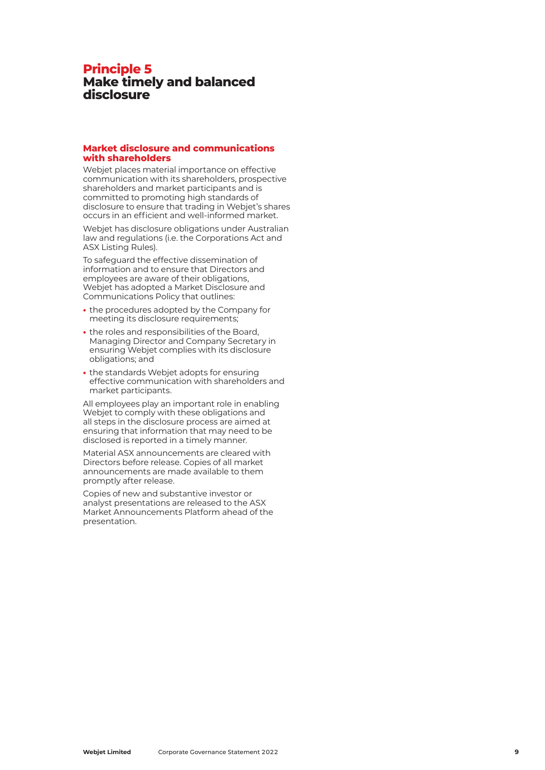## **Principle 5 Make timely and balanced disclosure**

#### **Market disclosure and communications with shareholders**

Webjet places material importance on effective communication with its shareholders, prospective shareholders and market participants and is committed to promoting high standards of disclosure to ensure that trading in Webjet's shares occurs in an efficient and well-informed market.

Webjet has disclosure obligations under Australian law and regulations (i.e. the Corporations Act and ASX Listing Rules).

To safeguard the effective dissemination of information and to ensure that Directors and employees are aware of their obligations, Webjet has adopted a Market Disclosure and Communications Policy that outlines:

- **•** the procedures adopted by the Company for meeting its disclosure requirements;
- **•** the roles and responsibilities of the Board, Managing Director and Company Secretary in ensuring Webjet complies with its disclosure obligations; and
- **•** the standards Webjet adopts for ensuring effective communication with shareholders and market participants.

All employees play an important role in enabling Webjet to comply with these obligations and all steps in the disclosure process are aimed at ensuring that information that may need to be disclosed is reported in a timely manner.

Material ASX announcements are cleared with Directors before release. Copies of all market announcements are made available to them promptly after release.

Copies of new and substantive investor or analyst presentations are released to the ASX Market Announcements Platform ahead of the presentation.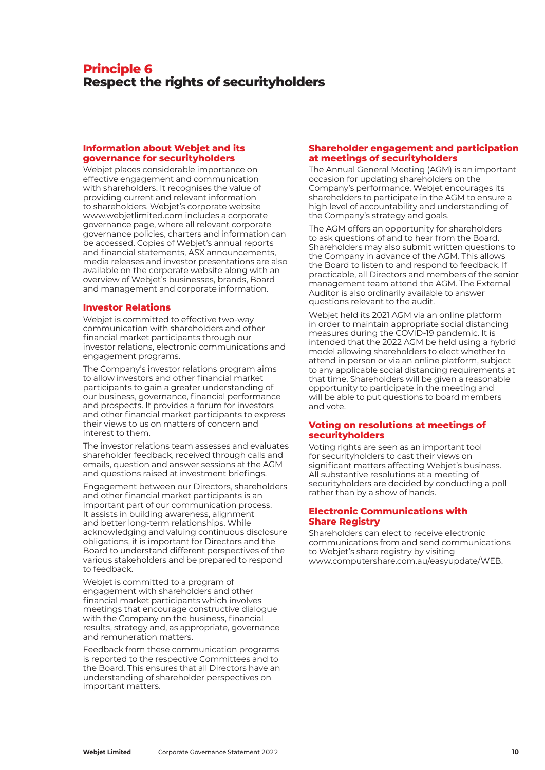# **Principle 6 Respect the rights of securityholders**

#### **Information about Webjet and its governance for securityholders**

Webjet places considerable importance on effective engagement and communication with shareholders. It recognises the value of providing current and relevant information to shareholders. Webjet's corporate website [www.webjetlimited.com in](http://www.webjetlimited.com)cludes a corporate governance page, where all relevant corporate governance policies, charters and information can be accessed. Copies of Webjet's annual reports and financial statements, ASX announcements, media releases and investor presentations are also available on the corporate website along with an overview of Webjet's businesses, brands, Board and management and corporate information.

#### **Investor Relations**

Webjet is committed to effective two-way communication with shareholders and other financial market participants through our investor relations, electronic communications and engagement programs.

The Company's investor relations program aims to allow investors and other financial market participants to gain a greater understanding of our business, governance, financial performance and prospects. It provides a forum for investors and other financial market participants to express their views to us on matters of concern and interest to them.

The investor relations team assesses and evaluates shareholder feedback, received through calls and emails, question and answer sessions at the AGM and questions raised at investment briefings.

Engagement between our Directors, shareholders and other financial market participants is an important part of our communication process. It assists in building awareness, alignment and better long-term relationships. While acknowledging and valuing continuous disclosure obligations, it is important for Directors and the Board to understand different perspectives of the various stakeholders and be prepared to respond to feedback.

Webjet is committed to a program of engagement with shareholders and other financial market participants which involves meetings that encourage constructive dialogue with the Company on the business, financial results, strategy and, as appropriate, governance and remuneration matters.

Feedback from these communication programs is reported to the respective Committees and to the Board. This ensures that all Directors have an understanding of shareholder perspectives on important matters.

## **Shareholder engagement and participation at meetings of securityholders**

The Annual General Meeting (AGM) is an important occasion for updating shareholders on the Company's performance. Webjet encourages its shareholders to participate in the AGM to ensure a high level of accountability and understanding of the Company's strategy and goals.

The AGM offers an opportunity for shareholders to ask questions of and to hear from the Board. Shareholders may also submit written questions to the Company in advance of the AGM. This allows the Board to listen to and respond to feedback. If practicable, all Directors and members of the senior management team attend the AGM. The External Auditor is also ordinarily available to answer questions relevant to the audit.

Webjet held its 2021 AGM via an online platform in order to maintain appropriate social distancing measures during the COVID-19 pandemic. It is intended that the 2022 AGM be held using a hybrid model allowing shareholders to elect whether to attend in person or via an online platform, subject to any applicable social distancing requirements at that time. Shareholders will be given a reasonable opportunity to participate in the meeting and will be able to put questions to board members and vote.

## **Voting on resolutions at meetings of securityholders**

Voting rights are seen as an important tool for securityholders to cast their views on significant matters affecting Webjet's business. All substantive resolutions at a meeting of securityholders are decided by conducting a poll rather than by a show of hands.

#### **Electronic Communications with Share Registry**

Shareholders can elect to receive electronic communications from and send communications to Webjet's share registry by visiting [www.computershare.com.au/easyupdate/WEB.](http://www.computershare.com.au/easyupdate/WEB)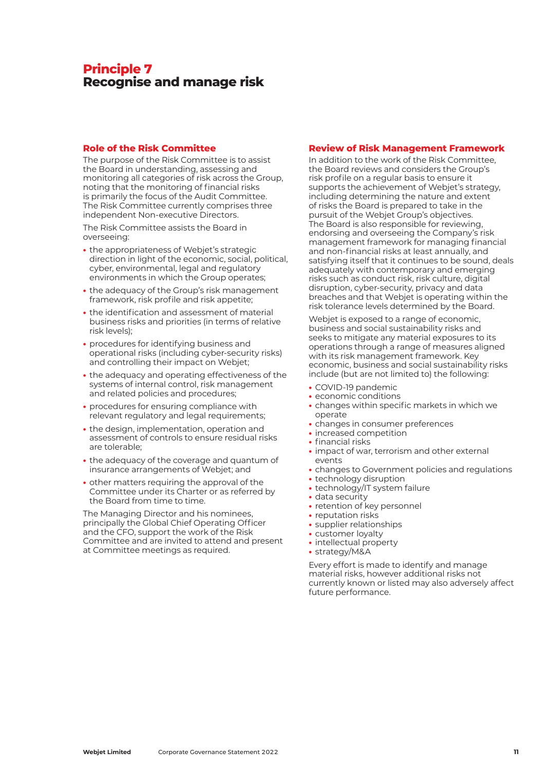# **Principle 7 Recognise and manage risk**

## **Role of the Risk Committee**

The purpose of the Risk Committee is to assist the Board in understanding, assessing and monitoring all categories of risk across the Group, noting that the monitoring of financial risks is primarily the focus of the Audit Committee. The Risk Committee currently comprises three independent Non-executive Directors.

The Risk Committee assists the Board in overseeing:

- **•** the appropriateness of Webjet's strategic direction in light of the economic, social, political, cyber, environmental, legal and regulatory environments in which the Group operates;
- **•** the adequacy of the Group's risk management framework, risk profile and risk appetite;
- **•** the identification and assessment of material business risks and priorities (in terms of relative risk levels);
- **•** procedures for identifying business and operational risks (including cyber-security risks) and controlling their impact on Webjet;
- **•** the adequacy and operating effectiveness of the systems of internal control, risk management and related policies and procedures;
- **•** procedures for ensuring compliance with relevant regulatory and legal requirements;
- **•** the design, implementation, operation and assessment of controls to ensure residual risks are tolerable;
- **•** the adequacy of the coverage and quantum of insurance arrangements of Webjet; and
- **•** other matters requiring the approval of the Committee under its Charter or as referred by the Board from time to time.

The Managing Director and his nominees, principally the Global Chief Operating Officer and the CFO, support the work of the Risk Committee and are invited to attend and present at Committee meetings as required.

## **Review of Risk Management Framework**

In addition to the work of the Risk Committee, the Board reviews and considers the Group's risk profile on a regular basis to ensure it supports the achievement of Webjet's strategy, including determining the nature and extent of risks the Board is prepared to take in the pursuit of the Webjet Group's objectives. The Board is also responsible for reviewing, endorsing and overseeing the Company's risk management framework for managing financial and non-financial risks at least annually, and satisfying itself that it continues to be sound, deals adequately with contemporary and emerging risks such as conduct risk, risk culture, digital disruption, cyber-security, privacy and data breaches and that Webjet is operating within the risk tolerance levels determined by the Board.

Webjet is exposed to a range of economic, business and social sustainability risks and seeks to mitigate any material exposures to its operations through a range of measures aligned with its risk management framework. Key economic, business and social sustainability risks include (but are not limited to) the following:

- **•** COVID-19 pandemic
- **•** economic conditions
- **•** changes within specific markets in which we operate
- **•** changes in consumer preferences
- **•** increased competition
- **•** financial risks
- **•** impact of war, terrorism and other external events
- **•** changes to Government policies and regulations
- **•** technology disruption
	- **•** technology/IT system failure
	- **•** data security
	- **•** retention of key personnel
	- **•** reputation risks
	- **•** supplier relationships
	- **•** customer loyalty
	- **•** intellectual property **•** strategy/M&A
- Every effort is made to identify and manage material risks, however additional risks not

currently known or listed may also adversely affect future performance.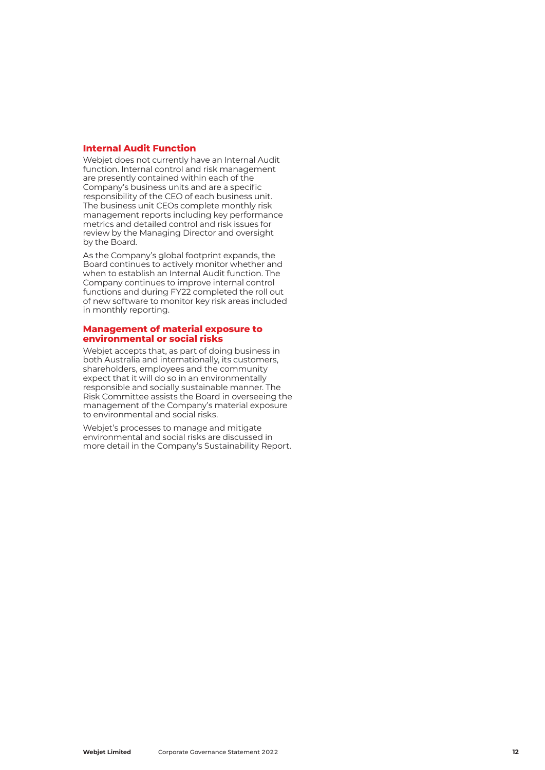#### **Internal Audit Function**

Webjet does not currently have an Internal Audit function. Internal control and risk management are presently contained within each of the Company's business units and are a specific responsibility of the CEO of each business unit. The business unit CEOs complete monthly risk management reports including key performance metrics and detailed control and risk issues for review by the Managing Director and oversight by the Board.

As the Company's global footprint expands, the Board continues to actively monitor whether and when to establish an Internal Audit function. The Company continues to improve internal control functions and during FY22 completed the roll out of new software to monitor key risk areas included in monthly reporting.

#### **Management of material exposure to environmental or social risks**

Webjet accepts that, as part of doing business in both Australia and internationally, its customers, shareholders, employees and the community expect that it will do so in an environmentally responsible and socially sustainable manner. The Risk Committee assists the Board in overseeing the management of the Company's material exposure to environmental and social risks.

Webjet's processes to manage and mitigate environmental and social risks are discussed in more detail in the Company's Sustainability Report.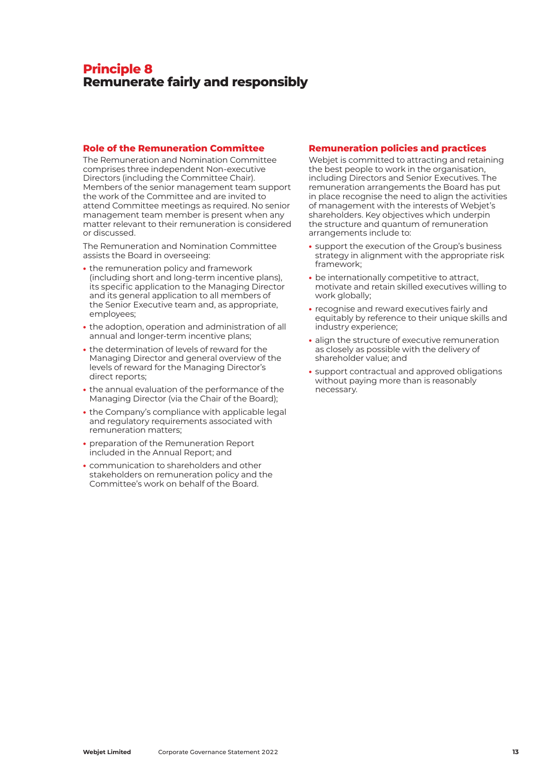# **Principle 8 Remunerate fairly and responsibly**

#### **Role of the Remuneration Committee**

The Remuneration and Nomination Committee comprises three independent Non-executive Directors (including the Committee Chair). Members of the senior management team support the work of the Committee and are invited to attend Committee meetings as required. No senior management team member is present when any matter relevant to their remuneration is considered or discussed.

The Remuneration and Nomination Committee assists the Board in overseeing:

- **•** the remuneration policy and framework (including short and long-term incentive plans), its specific application to the Managing Director and its general application to all members of the Senior Executive team and, as appropriate, employees;
- **•** the adoption, operation and administration of all annual and longer-term incentive plans;
- **•** the determination of levels of reward for the Managing Director and general overview of the levels of reward for the Managing Director's direct reports;
- **•** the annual evaluation of the performance of the Managing Director (via the Chair of the Board);
- **•** the Company's compliance with applicable legal and regulatory requirements associated with remuneration matters;
- **•** preparation of the Remuneration Report included in the Annual Report; and
- **•** communication to shareholders and other stakeholders on remuneration policy and the Committee's work on behalf of the Board.

#### **Remuneration policies and practices**

Webjet is committed to attracting and retaining the best people to work in the organisation, including Directors and Senior Executives. The remuneration arrangements the Board has put in place recognise the need to align the activities of management with the interests of Webjet's shareholders. Key objectives which underpin the structure and quantum of remuneration arrangements include to:

- **•** support the execution of the Group's business strategy in alignment with the appropriate risk framework;
- **•** be internationally competitive to attract, motivate and retain skilled executives willing to work globally;
- **•** recognise and reward executives fairly and equitably by reference to their unique skills and industry experience;
- **•** align the structure of executive remuneration as closely as possible with the delivery of shareholder value; and
- **•** support contractual and approved obligations without paying more than is reasonably necessary.